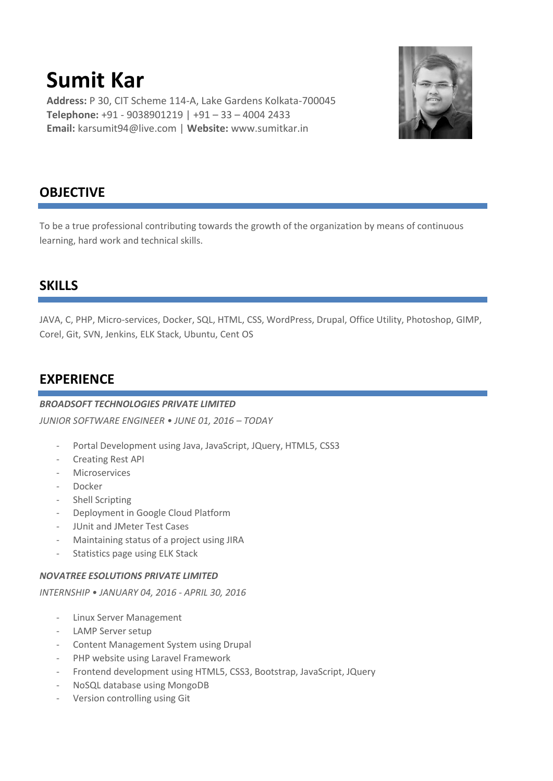# **Sumit Kar**

**Address:** P 30, CIT Scheme 114-A, Lake Gardens Kolkata-700045 **Telephone:** +91 - 9038901219 | +91 – 33 – 4004 2433 **Email:** karsumit94@live.com | **Website:** www.sumitkar.in



## **OBJECTIVE**

To be a true professional contributing towards the growth of the organization by means of continuous learning, hard work and technical skills.

## **SKILLS**

JAVA, C, PHP, Micro-services, Docker, SQL, HTML, CSS, WordPress, Drupal, Office Utility, Photoshop, GIMP, Corel, Git, SVN, Jenkins, ELK Stack, Ubuntu, Cent OS

## **EXPERIENCE**

#### *BROADSOFT TECHNOLOGIES PRIVATE LIMITED*

*JUNIOR SOFTWARE ENGINEER • JUNE 01, 2016 – TODAY*

- Portal Development using Java, JavaScript, JQuery, HTML5, CSS3
- Creating Rest API
- **Microservices**
- **Docker**
- Shell Scripting
- Deployment in Google Cloud Platform
- JUnit and JMeter Test Cases
- Maintaining status of a project using JIRA
- Statistics page using ELK Stack

#### *NOVATREE ESOLUTIONS PRIVATE LIMITED*

*INTERNSHIP • JANUARY 04, 2016 - APRIL 30, 2016*

- Linux Server Management
- LAMP Server setup
- Content Management System using Drupal
- PHP website using Laravel Framework
- Frontend development using HTML5, CSS3, Bootstrap, JavaScript, JQuery
- NoSQL database using MongoDB
- Version controlling using Git